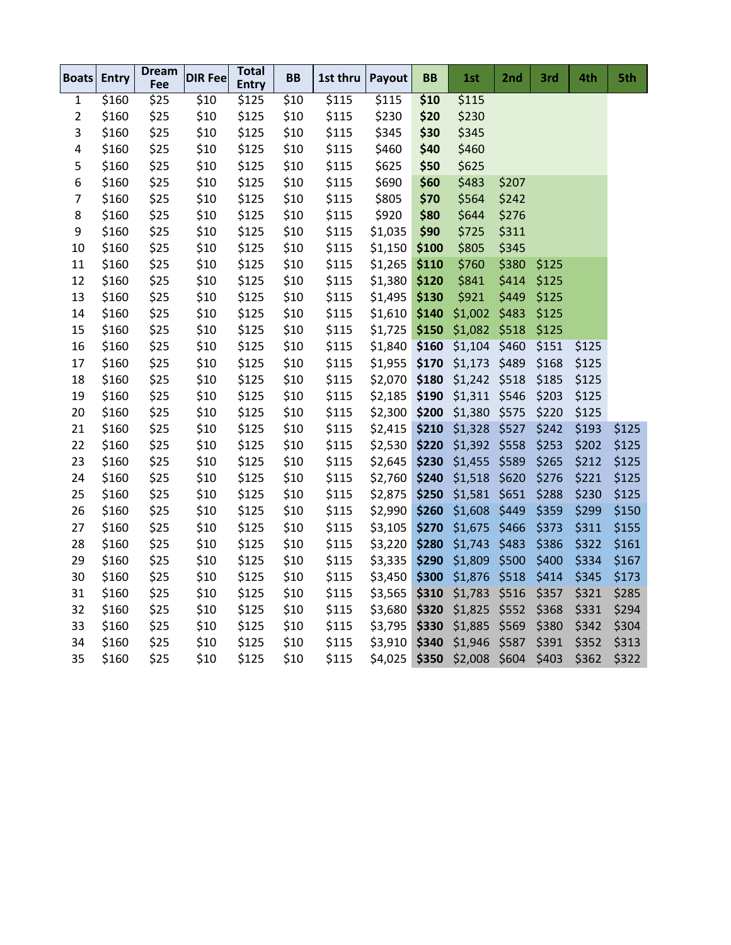| Boats          | Entry             | <b>Dream</b><br>Fee | <b>DIR Fee</b> | <b>Total</b><br><b>Entry</b> | BB   | 1st thru | Payout  | <b>BB</b> | 1st                 | 2nd   | 3rd   | 4th   | 5th   |
|----------------|-------------------|---------------------|----------------|------------------------------|------|----------|---------|-----------|---------------------|-------|-------|-------|-------|
| 1              | $\overline{$}160$ | \$25                | \$10           | \$125                        | \$10 | \$115    | \$115   | \$10      | \$115               |       |       |       |       |
| $\overline{2}$ | \$160             | \$25                | \$10           | \$125                        | \$10 | \$115    | \$230   | \$20      | \$230               |       |       |       |       |
| 3              | \$160             | \$25                | \$10           | \$125                        | \$10 | \$115    | \$345   | \$30      | \$345               |       |       |       |       |
| 4              | \$160             | \$25                | \$10           | \$125                        | \$10 | \$115    | \$460   | \$40      | \$460               |       |       |       |       |
| 5              | \$160             | \$25                | \$10           | \$125                        | \$10 | \$115    | \$625   | \$50      | \$625               |       |       |       |       |
| 6              | \$160             | \$25                | \$10           | \$125                        | \$10 | \$115    | \$690   | \$60      | \$483               | \$207 |       |       |       |
| $\overline{7}$ | \$160             | \$25                | \$10           | \$125                        | \$10 | \$115    | \$805   | \$70      | \$564               | \$242 |       |       |       |
| 8              | \$160             | \$25                | \$10           | \$125                        | \$10 | \$115    | \$920   | \$80      | \$644               | \$276 |       |       |       |
| 9              | \$160             | \$25                | \$10           | \$125                        | \$10 | \$115    | \$1,035 | \$90      | \$725               | \$311 |       |       |       |
| 10             | \$160             | \$25                | \$10           | \$125                        | \$10 | \$115    | \$1,150 | \$100     | \$805               | \$345 |       |       |       |
| 11             | \$160             | \$25                | \$10           | \$125                        | \$10 | \$115    | \$1,265 | \$110     | \$760               | \$380 | \$125 |       |       |
| 12             | \$160             | \$25                | \$10           | \$125                        | \$10 | \$115    | \$1,380 | \$120     | \$841               | \$414 | \$125 |       |       |
| 13             | \$160             | \$25                | \$10           | \$125                        | \$10 | \$115    | \$1,495 | \$130     | \$921               | \$449 | \$125 |       |       |
| 14             | \$160             | \$25                | \$10           | \$125                        | \$10 | \$115    | \$1,610 | \$140     | \$1,002             | \$483 | \$125 |       |       |
| 15             | \$160             | \$25                | \$10           | \$125                        | \$10 | \$115    | \$1,725 | \$150     | \$1,082             | \$518 | \$125 |       |       |
| 16             | \$160             | \$25                | \$10           | \$125                        | \$10 | \$115    | \$1,840 | \$160     | \$1,104             | \$460 | \$151 | \$125 |       |
| 17             | \$160             | \$25                | \$10           | \$125                        | \$10 | \$115    | \$1,955 | \$170     | \$1,173             | \$489 | \$168 | \$125 |       |
| 18             | \$160             | \$25                | \$10           | \$125                        | \$10 | \$115    | \$2,070 | \$180     | \$1,242             | \$518 | \$185 | \$125 |       |
| 19             | \$160             | \$25                | \$10           | \$125                        | \$10 | \$115    | \$2,185 | \$190     | \$1,311             | \$546 | \$203 | \$125 |       |
| 20             | \$160             | \$25                | \$10           | \$125                        | \$10 | \$115    | \$2,300 | \$200     | \$1,380             | \$575 | \$220 | \$125 |       |
| 21             | \$160             | \$25                | \$10           | \$125                        | \$10 | \$115    | \$2,415 | \$210     | \$1,328             | \$527 | \$242 | \$193 | \$125 |
| 22             | \$160             | \$25                | \$10           | \$125                        | \$10 | \$115    | \$2,530 | \$220     | \$1,392             | \$558 | \$253 | \$202 | \$125 |
| 23             | \$160             | \$25                | \$10           | \$125                        | \$10 | \$115    | \$2,645 | \$230     | \$1,455             | \$589 | \$265 | \$212 | \$125 |
| 24             | \$160             | \$25                | \$10           | \$125                        | \$10 | \$115    | \$2,760 | \$240     | \$1,518             | \$620 | \$276 | \$221 | \$125 |
| 25             | \$160             | \$25                | \$10           | \$125                        | \$10 | \$115    | \$2,875 | \$250     | \$1,581             | \$651 | \$288 | \$230 | \$125 |
| 26             | \$160             | \$25                | \$10           | \$125                        | \$10 | \$115    | \$2,990 | \$260     | \$1,608             | \$449 | \$359 | \$299 | \$150 |
| 27             | \$160             | \$25                | \$10           | \$125                        | \$10 | \$115    | \$3,105 | \$270     | \$1,675             | \$466 | \$373 | \$311 | \$155 |
| 28             | \$160             | \$25                | \$10           | \$125                        | \$10 | \$115    | \$3,220 | \$280     | \$1,743             | \$483 | \$386 | \$322 | \$161 |
| 29             | \$160             | \$25                | \$10           | \$125                        | \$10 | \$115    | \$3,335 | \$290     | \$1,809             | \$500 | \$400 | \$334 | \$167 |
| 30             | \$160             | \$25                | \$10           | \$125                        | \$10 | \$115    | \$3,450 | \$300     | \$1,876             | \$518 | \$414 | \$345 | \$173 |
| 31             | \$160             | \$25                | \$10           | \$125                        | \$10 | \$115    | \$3,565 | \$310     | \$1,783             | \$516 | \$357 | \$321 | \$285 |
| 32             | \$160             | \$25                | \$10           | \$125                        | \$10 | \$115    | \$3,680 | \$320     | \$1,825             | \$552 | \$368 | \$331 | \$294 |
| 33             | \$160             | \$25                | \$10           | \$125                        | \$10 | \$115    | \$3,795 | \$330     | \$1,885             | \$569 | \$380 | \$342 | \$304 |
| 34             | \$160             | \$25                | \$10           | \$125                        | \$10 | \$115    | \$3,910 | \$340     | \$1,946             | \$587 | \$391 | \$352 | \$313 |
| 35             | \$160             | \$25                | \$10           | \$125                        | \$10 | \$115    | \$4,025 |           | \$350 \$2,008 \$604 |       | \$403 | \$362 | \$322 |